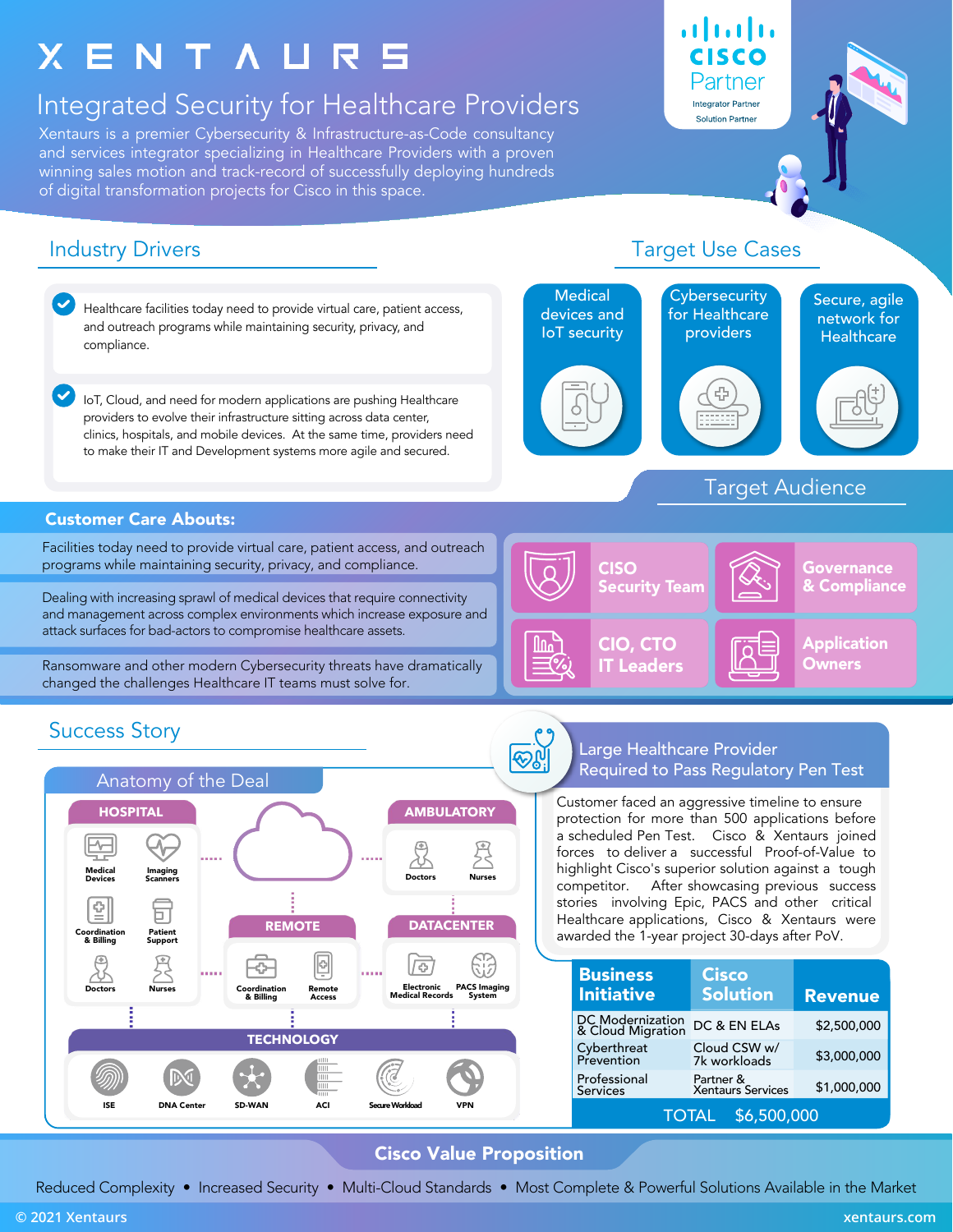# **XENTAURS**

## Integrated Security for Healthcare Providers

Xentaurs is a premier Cybersecurity & Infrastructure-as-Code consultancy and services integrator specializing in Healthcare Providers with a proven winning sales motion and track-record of successfully deploying hundreds of digital transformation projects for Cisco in this space.

### Industry Drivers



#### Target Use Cases

atnato

CISCO Partner **Integrator Partner Solution Partner** 

Reduced Complexity • Increased Security • Multi-Cloud Standards • Most Complete & Powerful Solutions Available in the Market